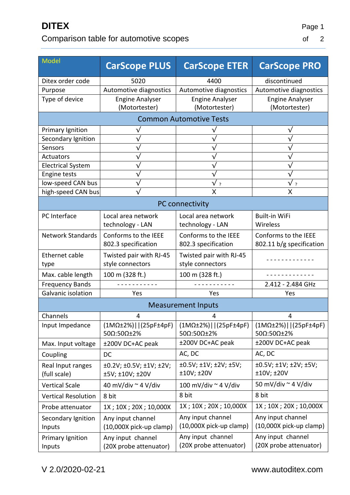## Comparison table for automotive scopes

| Model                             | <b>CarScope PLUS</b>                                   | <b>CarScope ETER</b>                        | <b>CarScope PRO</b>                          |  |
|-----------------------------------|--------------------------------------------------------|---------------------------------------------|----------------------------------------------|--|
| Ditex order code                  | 5020                                                   | 4400                                        | discontinued                                 |  |
| Purpose                           | Automotive diagnostics                                 | Automotive diagnostics                      | Automotive diagnostics                       |  |
| Type of device                    | <b>Engine Analyser</b><br>(Motortester)                | <b>Engine Analyser</b><br>(Motortester)     | <b>Engine Analyser</b><br>(Motortester)      |  |
| <b>Common Automotive Tests</b>    |                                                        |                                             |                                              |  |
| Primary Ignition                  |                                                        |                                             |                                              |  |
| Secondary Ignition                |                                                        |                                             |                                              |  |
| Sensors                           |                                                        |                                             |                                              |  |
| Actuators                         |                                                        |                                             |                                              |  |
| <b>Electrical System</b>          |                                                        |                                             |                                              |  |
| <b>Engine tests</b>               |                                                        |                                             | $\overline{\mathsf{v}}$                      |  |
| low-speed CAN bus                 |                                                        | $\sqrt{ }$ ?                                | v,                                           |  |
| high-speed CAN bus                |                                                        | X                                           | X                                            |  |
| PC connectivity                   |                                                        |                                             |                                              |  |
| PC Interface                      | Local area network                                     | Local area network                          | <b>Built-in WiFi</b>                         |  |
|                                   | technology - LAN                                       | technology - LAN                            | Wireless                                     |  |
| <b>Network Standards</b>          | Conforms to the IEEE                                   | Conforms to the IEEE                        | Conforms to the IEEE                         |  |
|                                   | 802.3 specification                                    | 802.3 specification                         | 802.11 b/g specification                     |  |
| <b>Ethernet cable</b>             | Twisted pair with RJ-45                                | Twisted pair with RJ-45                     |                                              |  |
| type                              | style connectors                                       | style connectors                            |                                              |  |
| Max. cable length                 | 100 m (328 ft.)                                        | 100 m (328 ft.)                             |                                              |  |
| <b>Frequency Bands</b>            |                                                        |                                             | 2.412 - 2.484 GHz                            |  |
| Galvanic isolation                | Yes                                                    | Yes                                         | Yes                                          |  |
| <b>Measurement Inputs</b>         |                                                        |                                             |                                              |  |
| Channels                          | 4                                                      | 4                                           | 4                                            |  |
| Input Impedance                   | $(1M\Omega \pm 2\%)$   (25pF $\pm 4pF$ )<br>500:500±2% | $(1MΩ±2%)$   (25pF±4pF)<br>500:500±2%       | $(1M\Omega±2%)     (25pF±4pF)$<br>500:500±2% |  |
| Max. Input voltage                | ±200V DC+AC peak                                       | ±200V DC+AC peak                            | ±200V DC+AC peak                             |  |
| Coupling                          | <b>DC</b>                                              | AC, DC                                      | AC, DC                                       |  |
| Real Input ranges<br>(full scale) | ±0.2V; ±0.5V; ±1V; ±2V;<br>±5V; ±10V; ±20V             | ±0.5V; ±1V; ±2V; ±5V;<br>±10V; ±20V         | ±0.5V; ±1V; ±2V; ±5V;<br>±10V;±20V           |  |
| <b>Vertical Scale</b>             | 40 mV/div $\sim$ 4 V/div                               | 100 mV/div ~ 4 V/div                        | 50 mV/div ~ 4 V/div                          |  |
| <b>Vertical Resolution</b>        | 8 bit                                                  | 8 bit                                       | 8 bit                                        |  |
| Probe attenuator                  | 1X; 10X; 20X; 10,000X                                  | 1X; 10X; 20X; 10,000X                       | 1X; 10X; 20X; 10,000X                        |  |
| Secondary Ignition                | Any input channel                                      | Any input channel                           | Any input channel                            |  |
| Inputs                            | (10,000X pick-up clamp)                                | (10,000X pick-up clamp)                     | $(10,000X~pick-up~clamp)$                    |  |
| Primary Ignition<br>Inputs        | Any input channel<br>(20X probe attenuator)            | Any input channel<br>(20X probe attenuator) | Any input channel<br>(20X probe attenuator)  |  |